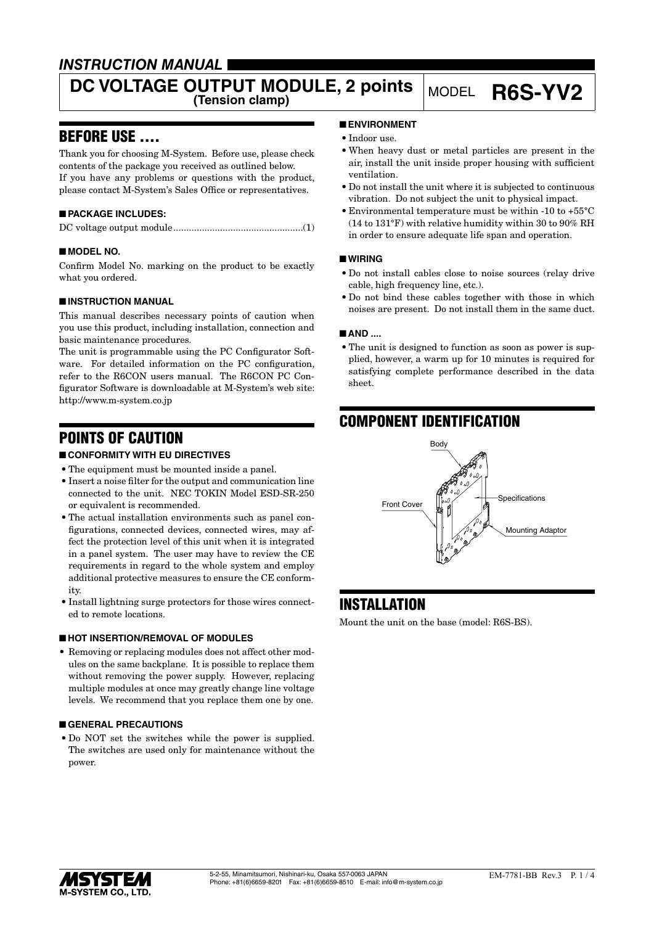### *INSTRUCTION MANUAL*

# **DC VOLTAGE OUTPUT MODULE, 2 points** MODEL **R6S-YV2**

### BEFORE USE ....

Thank you for choosing M-System. Before use, please check contents of the package you received as outlined below. If you have any problems or questions with the product, please contact M-System's Sales Office or representatives.

#### ■ **PACKAGE INCLUDES:**

#### ■ **MODEL NO.**

Confirm Model No. marking on the product to be exactly what you ordered.

#### ■ **INSTRUCTION MANUAL**

This manual describes necessary points of caution when you use this product, including installation, connection and basic maintenance procedures.

The unit is programmable using the PC Configurator Software. For detailed information on the PC configuration, refer to the R6CON users manual. The R6CON PC Configurator Software is downloadable at M-System's web site: http://www.m-system.co.jp

### POINTS OF CAUTION

#### ■ **CONFORMITY WITH EU DIRECTIVES**

- The equipment must be mounted inside a panel.
- • Insert a noise filter for the output and communication line connected to the unit. NEC TOKIN Model ESD-SR-250 or equivalent is recommended.
- The actual installation environments such as panel configurations, connected devices, connected wires, may affect the protection level of this unit when it is integrated in a panel system. The user may have to review the CE requirements in regard to the whole system and employ additional protective measures to ensure the CE conformity.
- Install lightning surge protectors for those wires connected to remote locations.

#### ■ **HOT INSERTION/REMOVAL OF MODULES**

• Removing or replacing modules does not affect other modules on the same backplane. It is possible to replace them without removing the power supply. However, replacing multiple modules at once may greatly change line voltage levels. We recommend that you replace them one by one.

#### ■ **GENERAL PRECAUTIONS**

• Do NOT set the switches while the power is supplied. The switches are used only for maintenance without the power.

#### ■ **ENVIRONMENT**

- Indoor use.
- • When heavy dust or metal particles are present in the air, install the unit inside proper housing with sufficient ventilation.
- • Do not install the unit where it is subjected to continuous vibration. Do not subject the unit to physical impact.
- • Environmental temperature must be within -10 to +55°C (14 to 131°F) with relative humidity within 30 to 90% RH in order to ensure adequate life span and operation.

#### ■ **WIRING**

- • Do not install cables close to noise sources (relay drive cable, high frequency line, etc.).
- Do not bind these cables together with those in which noises are present. Do not install them in the same duct.

#### ■ **AND** ....

• The unit is designed to function as soon as power is supplied, however, a warm up for 10 minutes is required for satisfying complete performance described in the data sheet.

### COMPONENT IDENTIFICATION



### INSTALLATION

Mount the unit on the base (model: R6S-BS).

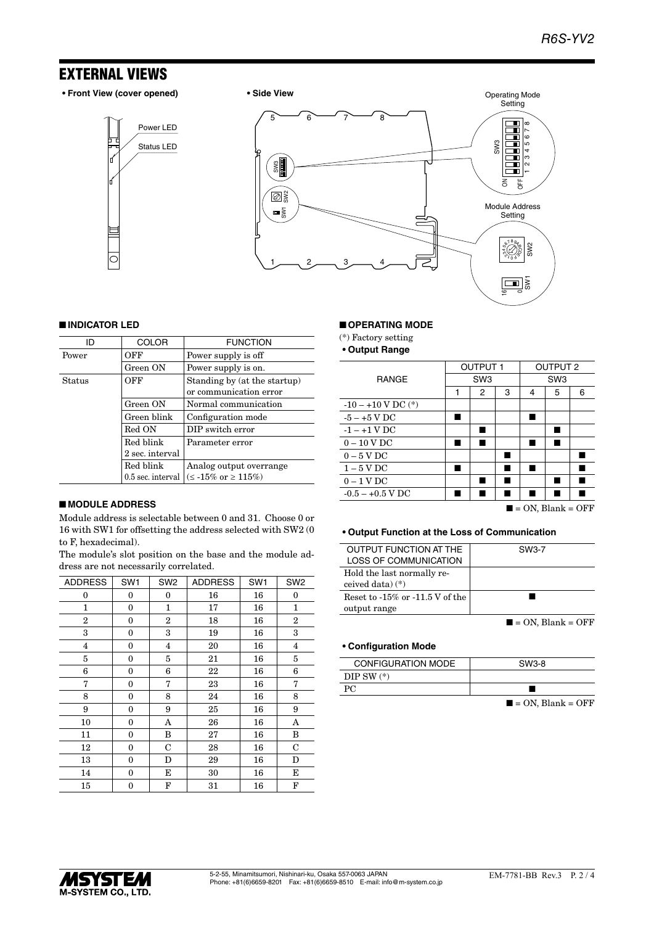### EXTERNAL VIEWS

**• Front View (cover opened) • Side View**

Status LED Power LED





#### ■ **INDICATOR LED**

| חו     | <b>COLOR</b>      | <b>FUNCTION</b>                       |  |
|--------|-------------------|---------------------------------------|--|
| Power  | OFF               | Power supply is off                   |  |
|        | Green ON          | Power supply is on.                   |  |
| Status | OFF               | Standing by (at the startup)          |  |
|        |                   | or communication error                |  |
|        | Green ON          | Normal communication                  |  |
|        | Green blink       | Configuration mode                    |  |
|        | Red ON            | DIP switch error                      |  |
|        | Red blink         | Parameter error                       |  |
|        | 2 sec. interval   |                                       |  |
|        | Red blink         | Analog output overrange               |  |
|        | 0.5 sec. interval | $(\leq -15\% \text{ or } \geq 115\%)$ |  |

#### ■ **MODULE ADDRESS**

Module address is selectable between 0 and 31. Choose 0 or 16 with SW1 for offsetting the address selected with SW2 (0 to F, hexadecimal).

The module's slot position on the base and the module address are not necessarily correlated.

| <b>ADDRESS</b> | SW <sub>1</sub> | SW <sub>2</sub> | <b>ADDRESS</b> | SW <sub>1</sub> | SW <sub>2</sub> |
|----------------|-----------------|-----------------|----------------|-----------------|-----------------|
| 0              | 0               | 0               | 16             | 16              | $\mathbf{0}$    |
| 1              | $\mathbf{0}$    | 1               | 17             | 16              | $\mathbf{1}$    |
| $\overline{2}$ | $\mathbf{0}$    | $\overline{2}$  | 18             | 16              | $\overline{2}$  |
| 3              | 0               | 3               | 19             | 16              | 3               |
| 4              | $\mathbf{0}$    | 4               | 20             | 16              | 4               |
| 5              | $\mathbf{0}$    | 5               | 21             | 16              | 5               |
| 6              | 0               | 6               | 22             | 16              | 6               |
| 7              | $\mathbf{0}$    | 7               | 23             | 16              | 7               |
| 8              | $\mathbf{0}$    | 8               | 24             | 16              | 8               |
| 9              | $\mathbf{0}$    | 9               | 25             | 16              | 9               |
| 10             | $\mathbf{0}$    | Α               | 26             | 16              | Α               |
| 11             | $\mathbf{0}$    | B               | 27             | 16              | B               |
| 12             | 0               | C               | 28             | 16              | $\mathbf C$     |
| 13             | $\mathbf{0}$    | D               | 29             | 16              | D               |
| 14             | $\mathbf{0}$    | E               | 30             | 16              | Е               |
| 15             | 0               | F               | 31             | 16              | F               |

#### ■ **OPERATING MODE**

(\*) Factory setting

**• Output Range**

|                        | <b>OUTPUT1</b>  |   |   | <b>OUTPUT 2</b> |   |   |
|------------------------|-----------------|---|---|-----------------|---|---|
| <b>RANGE</b>           | SW <sub>3</sub> |   |   | SW <sub>3</sub> |   |   |
|                        | 1               | 2 | 3 | 4               | 5 | 6 |
| $-10 - +10$ V DC $(*)$ |                 |   |   |                 |   |   |
| $-5 - +5$ V DC         |                 |   |   |                 |   |   |
| $-1 - +1$ V DC         |                 |   |   |                 |   |   |
| $0-10$ V DC            |                 |   |   |                 |   |   |
| $0-5$ V DC             |                 |   |   |                 |   |   |
| $1-5$ V DC             |                 |   |   |                 |   |   |
| $0 - 1$ V DC           |                 |   |   |                 |   |   |
| $-0.5 - +0.5$ V DC     |                 |   |   |                 |   |   |
|                        |                 |   |   |                 |   |   |

 $\blacksquare$  = ON, Blank = OFF

#### **• Output Function at the Loss of Communication**

| <b>OUTPUT FUNCTION AT THE</b>       | SW3-7                            |
|-------------------------------------|----------------------------------|
| LOSS OF COMMUNICATION               |                                  |
| Hold the last normally re-          |                                  |
| ceived data) $(*)$                  |                                  |
| Reset to $-15\%$ or $-11.5V$ of the |                                  |
| output range                        |                                  |
|                                     | $\blacksquare$ = ON. Blank = OFF |

#### **• Configuration Mode**

| <b>CONFIGURATION MODE</b> | SW3-8                          |
|---------------------------|--------------------------------|
| DIP SW $(*)$              |                                |
|                           |                                |
|                           | $\sim$<br>$\sim$ $\sim$ $\sim$ |

 $\blacksquare$  = ON, Blank = OFF

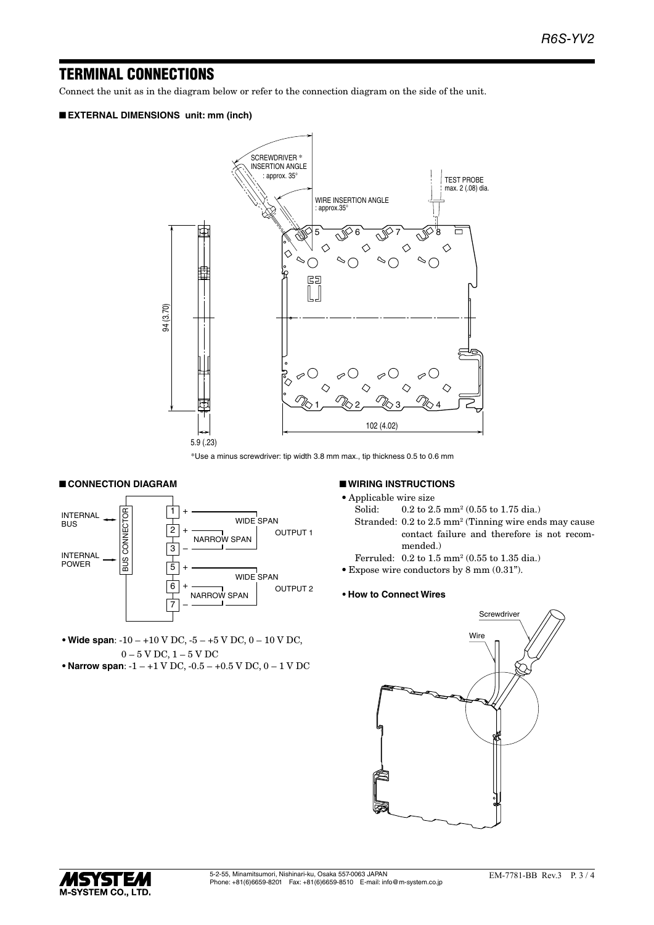### TERMINAL CONNECTIONS

Connect the unit as in the diagram below or refer to the connection diagram on the side of the unit.

#### ■ **EXTERNAL DIMENSIONS unit: mm (inch)**



\*Use a minus screwdriver: tip width 3.8 mm max., tip thickness 0.5 to 0.6 mm

#### ■ **CONNECTION DIAGRAM**



**• Wide span**: -10 – +10 V DC, -5 – +5 V DC, 0 – 10 V DC, 0 – 5 V DC, 1 – 5 V DC

**• Narrow span**: -1 – +1 V DC, -0.5 – +0.5 V DC, 0 – 1 V DC

#### ■ **WIRING INSTRUCTIONS**

- • Applicable wire size
- Solid: 0.2 to 2.5 mm<sup>2</sup> (0.55 to 1.75 dia.)
- Stranded: 0.2 to 2.5 mm<sup>2</sup> (Tinning wire ends may cause contact failure and therefore is not recommended.)
- Ferruled: 0.2 to 1.5 mm<sup>2</sup> (0.55 to 1.35 dia.)
- • Expose wire conductors by 8 mm (0.31").

#### **• How to Connect Wires**